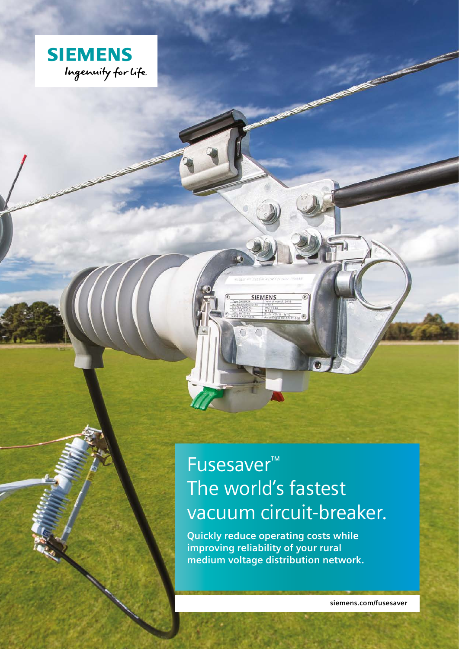

# Fusesaver™ The world's fastest vacuum circuit-breaker.

**SIEMENS** 

 $\epsilon$ 

**Quickly reduce operating costs while improving reliability of your rural medium voltage distribution network.**

**siemens.com/fusesaver**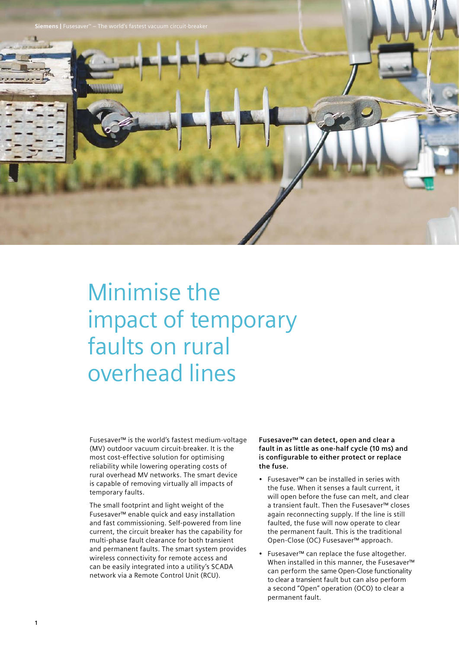

# Minimise the impact of temporary faults on rural overhead lines

Fusesaver™ is the world's fastest medium-voltage (MV) outdoor vacuum circuit-breaker. It is the most cost-effective solution for optimising reliability while lowering operating costs of rural overhead MV networks. The smart device is capable of removing virtually all impacts of temporary faults.

The small footprint and light weight of the Fusesaver™ enable quick and easy installation and fast commissioning. Self-powered from line current, the circuit breaker has the capability for multi-phase fault clearance for both transient and permanent faults. The smart system provides wireless connectivity for remote access and can be easily integrated into a utility's SCADA network via a Remote Control Unit (RCU).

**Fusesaver™ can detect, open and clear a fault in as little as one-half cycle (10 ms) and is configurable to either protect or replace the fuse.** 

- Fusesaver™ can be installed in series with the fuse. When it senses a fault current, it will open before the fuse can melt, and clear a transient fault. Then the Fusesaver™ closes again reconnecting supply. If the line is still faulted, the fuse will now operate to clear the permanent fault. This is the traditional Open-Close (OC) Fusesaver™ approach.
- Fusesaver™ can replace the fuse altogether. When installed in this manner, the Fusesaver™ can perform the same Open-Close functionality to clear a transient fault but can also perform a second "Open" operation (OCO) to clear a permanent fault.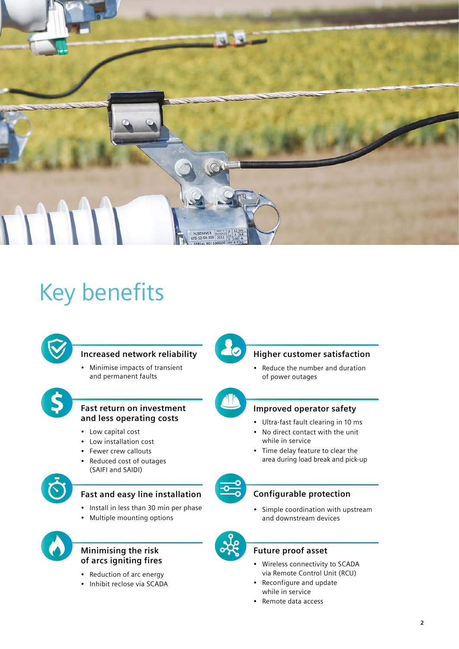

# Key benefits



## **Increased network reliability**

• Minimise impacts of transient and permanent faults



#### **Fast return on investment and less operating costs**

- Low capital cost
- Low installation cost
- Fewer crew callouts
- Reduced cost of outages (SAIFI and SAIDI)



## **Fast and easy line installation**

- Install in less than 30 min per phase
- Multiple mounting options



### **Minimising the risk of arcs igniting fires**

- Reduction of arc energy
- Inhibit reclose via SCADA



## **Higher customer satisfaction**

• Reduce the number and duration of power outages



### **Improved operator safety**

- Ultra-fast fault clearing in 10 ms
- No direct contact with the unit while in service
- Time delay feature to clear the area during load break and pick-up



#### **Configurable protection**

• Simple coordination with upstream and downstream devices



#### **Future proof asset**

- Wireless connectivity to SCADA via Remote Control Unit (RCU)
- Reconfigure and update while in service
- Remote data access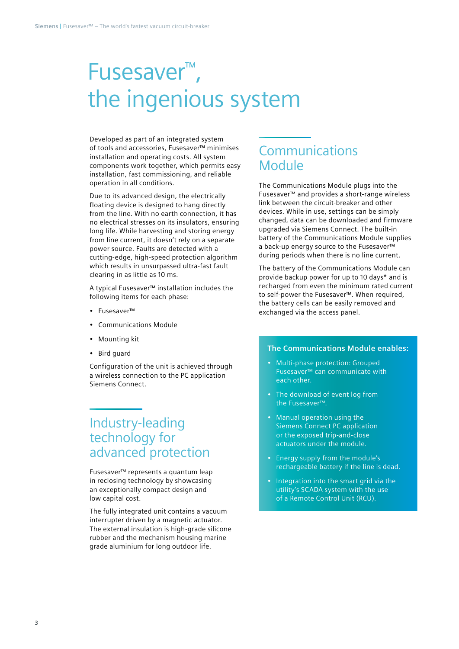# Fusesaver™ , the ingenious system

Developed as part of an integrated system of tools and accessories, Fusesaver™ minimises installation and operating costs. All system components work together, which permits easy installation, fast commissioning, and reliable operation in all conditions.

Due to its advanced design, the electrically floating device is designed to hang directly from the line. With no earth connection, it has no electrical stresses on its insulators, ensuring long life. While harvesting and storing energy from line current, it doesn't rely on a separate power source. Faults are detected with a cutting-edge, high-speed protection algorithm which results in unsurpassed ultra-fast fault clearing in as little as 10 ms.

A typical Fusesaver™ installation includes the following items for each phase:

- Fusesaver™
- Communications Module
- Mounting kit
- Bird guard

Configuration of the unit is achieved through a wireless connection to the PC application Siemens Connect.

# Industry-leading technology for advanced protection

Fusesaver™ represents a quantum leap in reclosing technology by showcasing an exceptionally compact design and low capital cost.

The fully integrated unit contains a vacuum interrupter driven by a magnetic actuator. The external insulation is high-grade silicone rubber and the mechanism housing marine grade aluminium for long outdoor life.

# **Communications** Module

The Communications Module plugs into the Fusesaver™ and provides a short-range wireless link between the circuit-breaker and other devices. While in use, settings can be simply changed, data can be downloaded and firmware upgraded via Siemens Connect. The built-in battery of the Communications Module supplies a back-up energy source to the Fusesaver™ during periods when there is no line current.

The battery of the Communications Module can provide backup power for up to 10 days\* and is recharged from even the minimum rated current to self-power the Fusesaver™. When required, the battery cells can be easily removed and exchanged via the access panel.

#### **The Communications Module enables:**

- Multi-phase protection: Grouped Fusesaver™ can communicate with each other.
- The download of event log from the Fusesaver™.
- Manual operation using the Siemens Connect PC application or the exposed trip-and-close actuators under the module.
- Energy supply from the module's rechargeable battery if the line is dead.
- Integration into the smart grid via the utility's SCADA system with the use of a Remote Control Unit (RCU).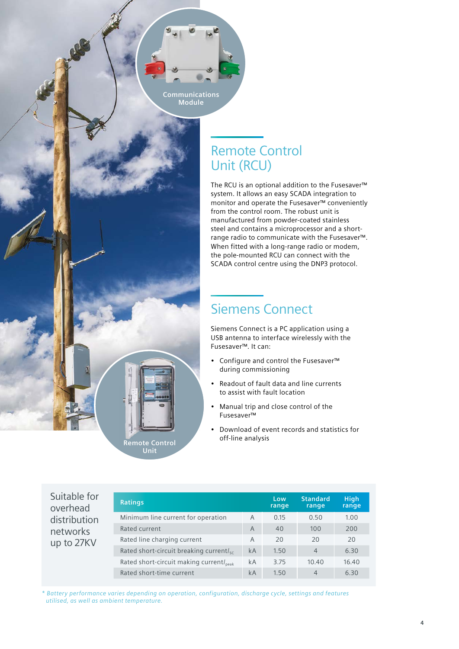

# Remote Control Unit (RCU)

The RCU is an optional addition to the Fusesaver™ system. It allows an easy SCADA integration to monitor and operate the Fusesaver™ conveniently from the control room. The robust unit is manufactured from powder-coated stainless steel and contains a microprocessor and a shortrange radio to communicate with the Fusesaver™. When fitted with a long-range radio or modem, the pole-mounted RCU can connect with the SCADA control centre using the DNP3 protocol.

# Siemens Connect

Siemens Connect is a PC application using a USB antenna to interface wirelessly with the Fusesaver™. It can:

- Configure and control the Fusesaver™ during commissioning
- Readout of fault data and line currents to assist with fault location
- Manual trip and close control of the Fusesaver™
- Download of event records and statistics for off-line analysis

| Suitable for<br>overhead<br>distribution<br>networks<br>up to 27KV | <b>Ratings</b>                                      |                | Low<br>range | <b>Standard</b><br>range | <b>High</b><br>range |
|--------------------------------------------------------------------|-----------------------------------------------------|----------------|--------------|--------------------------|----------------------|
|                                                                    | Minimum line current for operation                  | A              | 0.15         | 0.50                     | 1.00                 |
|                                                                    | Rated current                                       | $\overline{A}$ | 40           | 100                      | 200                  |
|                                                                    | Rated line charging current                         | A              | 20           | 20                       | 20                   |
|                                                                    | Rated short-circuit breaking currentl <sub>sc</sub> | kA             | 1.50         | $\overline{4}$           | 6.30                 |
|                                                                    | Rated short-circuit making current/ <sub>peak</sub> | kA             | 3.75         | 10.40                    | 16.40                |
|                                                                    | Rated short-time current                            | kA             | 1.50         | $\overline{4}$           | 6.30                 |

*\* Battery performance varies depending on operation, configuration, discharge cycle, settings and features utilised, as well as ambient temperature.*

**Remote Control Unit**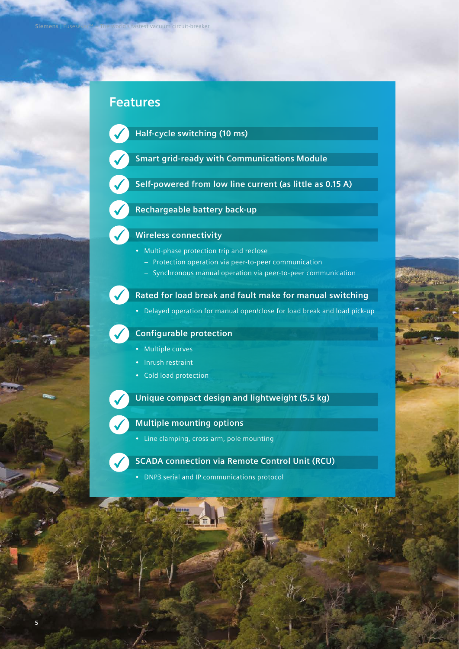# **Features**



**Half-cycle switching (10 ms)**

- **Smart grid-ready with Communications Module**
- **Self-powered from low line current (as little as 0.15 A)**

## **Rechargeable battery back-up**

## **Wireless connectivity**

- Multi-phase protection trip and reclose
	- Protection operation via peer-to-peer communication
	- Synchronous manual operation via peer-to-peer communication



## **Rated for load break and fault make for manual switching**

• Delayed operation for manual open/close for load break and load pick-up



### **Configurable protection**

- Multiple curves
- Inrush restraint
- Cold load protection

**Unique compact design and lightweight (5.5 kg)**



## **Multiple mounting options**

• Line clamping, cross-arm, pole mounting

### **SCADA connection via Remote Control Unit (RCU)**

• DNP3 serial and IP communications protocol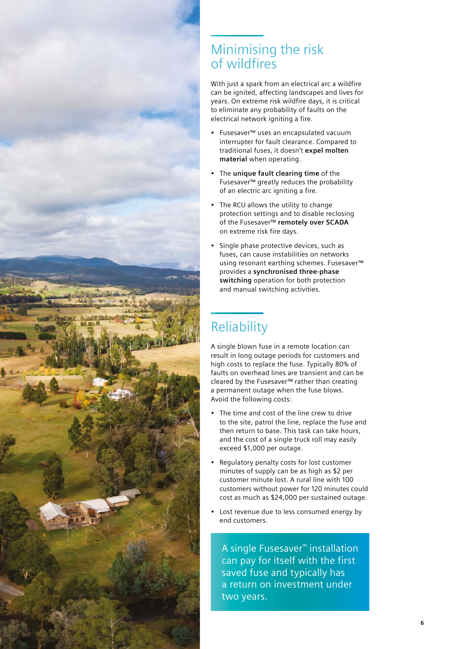

# Minimising the risk of wildfires

With just a spark from an electrical arc a wildfire can be ignited, affecting landscapes and lives for years. On extreme risk wildfire days, it is critical to eliminate any probability of faults on the electrical network igniting a fire.

- Fusesaver™ uses an encapsulated vacuum interrupter for fault clearance. Compared to traditional fuses, it doesn't **expel molten material** when operating.
- The **unique fault clearing time** of the Fusesaver™ greatly reduces the probability of an electric arc igniting a fire.
- The RCU allows the utility to change protection settings and to disable reclosing of the Fusesaver™ **remotely over SCADA** on extreme risk fire days.
- Single phase protective devices, such as fuses, can cause instabilities on networks using resonant earthing schemes. Fusesaver™ provides a **synchronised three-phase switching** operation for both protection and manual switching activities.

# Reliability

A single blown fuse in a remote location can result in long outage periods for customers and high costs to replace the fuse. Typically 80% of faults on overhead lines are transient and can be cleared by the Fusesaver™ rather than creating a permanent outage when the fuse blows. Avoid the following costs:

- The time and cost of the line crew to drive to the site, patrol the line, replace the fuse and then return to base. This task can take hours, and the cost of a single truck roll may easily exceed \$1,000 per outage.
- Regulatory penalty costs for lost customer minutes of supply can be as high as \$2 per customer minute lost. A rural line with 100 customers without power for 120 minutes could cost as much as \$24,000 per sustained outage.
- Lost revenue due to less consumed energy by end customers.

A single Fusesaver™ installation can pay for itself with the first saved fuse and typically has a return on investment under two years.